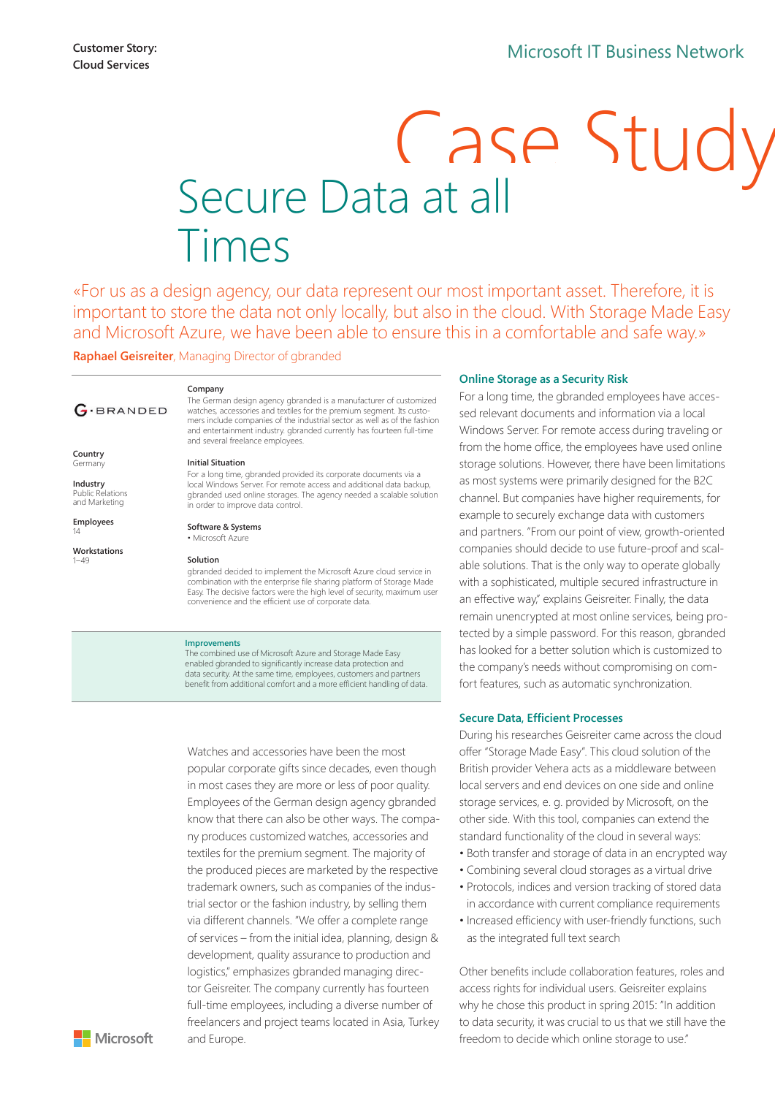# Secure Data at all Times

«For us as a design agency, our data represent our most important asset. Therefore, it is important to store the data not only locally, but also in the cloud. With Storage Made Easy and Microsoft Azure, we have been able to ensure this in a comfortable and safe way.»

**Raphael Geisreiter**, Managing Director of gbranded

**Company** 

# $G$ ·BRANDED

The German design agency gbranded is a manufacturer of customized watches, accessories and textiles for the premium segment. Its custo-mers include companies of the industrial sector as well as of the fashion and entertainment industry. gbranded currently has fourteen full-time and several freelance employees.

#### **Initial Situation**

**Industry**  Public Relations and Marketing

**Employees**  14

**Country Germany** 

**Workstations** 

 $1 - 49$ 

For a long time, gbranded provided its corporate documents via a local Windows Server. For remote access and additional data backup, gbranded used online storages. The agency needed a scalable solution in order to improve data control.

**Software & Systems**

• Microsoft Azure

#### **Solution**

gbranded decided to implement the Microsoft Azure cloud service in combination with the enterprise file sharing platform of Storage Made Easy. The decisive factors were the high level of security, maximum user convenience and the efficient use of corporate data.

#### **Improvements**

The combined use of Microsoft Azure and Storage Made Easy enabled gbranded to significantly increase data protection and data security. At the same time, employees, customers and partners benefit from additional comfort and a more efficient handling of data.

Watches and accessories have been the most popular corporate gifts since decades, even though in most cases they are more or less of poor quality. Employees of the German design agency gbranded know that there can also be other ways. The company produces customized watches, accessories and textiles for the premium segment. The majority of the produced pieces are marketed by the respective trademark owners, such as companies of the industrial sector or the fashion industry, by selling them via different channels. "We offer a complete range of services – from the initial idea, planning, design & development, quality assurance to production and logistics," emphasizes gbranded managing director Geisreiter. The company currently has fourteen full-time employees, including a diverse number of freelancers and project teams located in Asia, Turkey and Europe.

#### **Online Storage as a Security Risk**

For a long time, the gbranded employees have accessed relevant documents and information via a local Windows Server. For remote access during traveling or from the home office, the employees have used online storage solutions. However, there have been limitations as most systems were primarily designed for the B2C channel. But companies have higher requirements, for example to securely exchange data with customers and partners. "From our point of view, growth-oriented companies should decide to use future-proof and scalable solutions. That is the only way to operate globally with a sophisticated, multiple secured infrastructure in an effective way," explains Geisreiter. Finally, the data remain unencrypted at most online services, being protected by a simple password. For this reason, gbranded has looked for a better solution which is customized to the company's needs without compromising on comfort features, such as automatic synchronization.

#### **Secure Data, Efficient Processes**

During his researches Geisreiter came across the cloud offer "Storage Made Easy". This cloud solution of the British provider Vehera acts as a middleware between local servers and end devices on one side and online storage services, e. g. provided by Microsoft, on the other side. With this tool, companies can extend the standard functionality of the cloud in several ways:

- Both transfer and storage of data in an encrypted way
- Combining several cloud storages as a virtual drive
- Protocols, indices and version tracking of stored data in accordance with current compliance requirements
- Increased efficiency with user-friendly functions, such as the integrated full text search

Other benefits include collaboration features, roles and access rights for individual users. Geisreiter explains why he chose this product in spring 2015: "In addition to data security, it was crucial to us that we still have the freedom to decide which online storage to use."